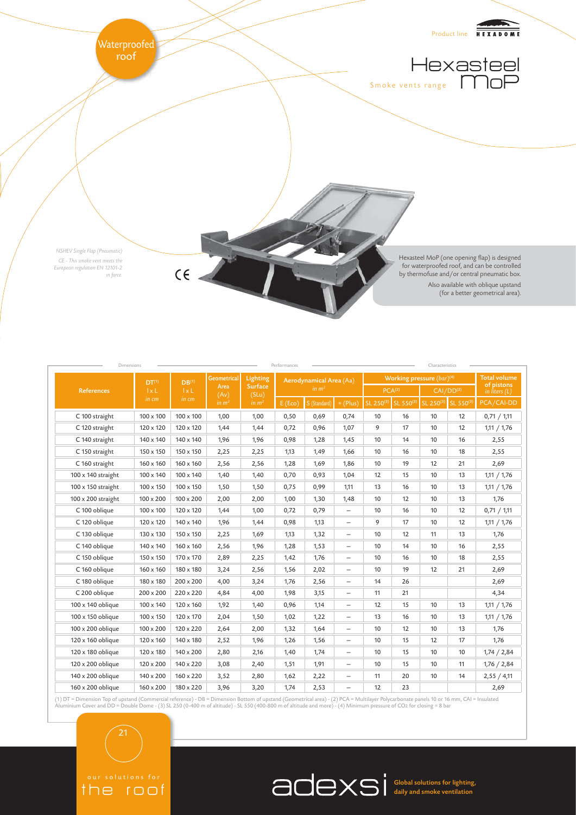

|                    | DT <sup>(1)</sup><br>1xL<br>in cm | $DB^{(1)}$<br>1xL<br>in cm | <b>Geometrical</b><br>Area<br>(Av)<br>in $m2$ | Lighting<br><b>Surface</b><br>(SLu)<br>$\mathbf{m} \mathbf{m}^2$ | Aerodynamical Area (Aa)<br>in $m2$ |              |                          | Working pressure $(bar)^{(4)}$ |           |                       |                     | <b>Total volume</b>           |
|--------------------|-----------------------------------|----------------------------|-----------------------------------------------|------------------------------------------------------------------|------------------------------------|--------------|--------------------------|--------------------------------|-----------|-----------------------|---------------------|-------------------------------|
| <b>References</b>  |                                   |                            |                                               |                                                                  |                                    |              |                          | PCA <sup>(2)</sup>             |           | CAI/DD <sup>(2)</sup> |                     | of pistons<br>in liters $(L)$ |
|                    |                                   |                            |                                               |                                                                  | E(Eco)                             | S (Standard) | $+$ (Plus)               | SL 250(3)                      | SL 550(3) |                       | SL 250(3) SL 550(3) | PCA/CAI-DD                    |
| C 100 straight     | 100 x 100                         | 100 x 100                  | 1,00                                          | 1,00                                                             | 0,50                               | 0,69         | 0,74                     | 10                             | 16        | 10                    | 12                  | 0,71 / 1,11                   |
| C 120 straight     | 120 x 120                         | 120 x 120                  | 1,44                                          | 1,44                                                             | 0,72                               | 0,96         | 1,07                     | 9                              | 17        | 10                    | 12                  | 1,11 / 1,76                   |
| C 140 straight     | 140 x 140                         | 140 x 140                  | 1,96                                          | 1,96                                                             | 0,98                               | 1,28         | 1,45                     | 10                             | 14        | 10                    | 16                  | 2,55                          |
| C 150 straight     | 150 x 150                         | 150 x 150                  | 2,25                                          | 2,25                                                             | 1,13                               | 1,49         | 1,66                     | 10                             | 16        | 10                    | 18                  | 2,55                          |
| C 160 straight     | 160 x 160                         | 160 x 160                  | 2,56                                          | 2,56                                                             | 1,28                               | 1,69         | 1,86                     | 10                             | 19        | 12                    | 21                  | 2,69                          |
| 100 x 140 straight | 100 x 140                         | 100 x 140                  | 1,40                                          | 1,40                                                             | 0,70                               | 0,93         | 1,04                     | 12                             | 15        | 10                    | 13                  | 1,11 / 1,76                   |
| 100 x 150 straight | 100 x 150                         | 100 x 150                  | 1,50                                          | 1,50                                                             | 0,75                               | 0,99         | 1,11                     | 13                             | 16        | 10                    | 13                  | 1,11 / 1,76                   |
| 100 x 200 straight | 100 x 200                         | 100 x 200                  | 2,00                                          | 2,00                                                             | 1,00                               | 1,30         | 1,48                     | 10                             | 12        | 10                    | 13                  | 1,76                          |
| C 100 oblique      | 100 x 100                         | 120 x 120                  | 1,44                                          | 1,00                                                             | 0,72                               | 0,79         | $\qquad \qquad -$        | 10                             | 16        | 10                    | 12                  | 0,71 / 1,11                   |
| C 120 oblique      | 120 x 120                         | 140 x 140                  | 1,96                                          | 1,44                                                             | 0,98                               | 1,13         | $\overline{\phantom{0}}$ | 9                              | 17        | 10                    | 12                  | 1,11 / 1,76                   |
| C 130 oblique      | 130 x 130                         | 150 x 150                  | 2,25                                          | 1,69                                                             | 1,13                               | 1,32         | $\qquad \qquad -$        | 10                             | 12        | 11                    | 13                  | 1,76                          |
| C 140 oblique      | 140 x 140                         | 160 x 160                  | 2,56                                          | 1,96                                                             | 1,28                               | 1,53         | $\qquad \qquad -$        | 10                             | 14        | 10                    | 16                  | 2,55                          |
| C 150 oblique      | 150 x 150                         | 170 x 170                  | 2,89                                          | 2,25                                                             | 1,42                               | 1,76         | $\qquad \qquad -$        | 10                             | 16        | 10                    | 18                  | 2,55                          |
| C 160 oblique      | 160 x 160                         | 180 x 180                  | 3,24                                          | 2,56                                                             | 1,56                               | 2,02         | $\qquad \qquad -$        | 10                             | 19        | 12                    | 21                  | 2,69                          |
| C 180 oblique      | 180 x 180                         | $200 \times 200$           | 4,00                                          | 3,24                                                             | 1,76                               | 2,56         |                          | 14                             | 26        |                       |                     | 2,69                          |
| C 200 oblique      | $200 \times 200$                  | 220 x 220                  | 4,84                                          | 4,00                                                             | 1,98                               | 3,15         | $\qquad \qquad -$        | 11                             | 21        |                       |                     | 4,34                          |
| 100 x 140 oblique  | 100 x 140                         | 120 x 160                  | 1,92                                          | 1,40                                                             | 0,96                               | 1,14         | $\qquad \qquad -$        | 12                             | 15        | 10                    | 13                  | 1,11 / 1,76                   |
| 100 x 150 oblique  | 100 x 150                         | 120 x 170                  | 2,04                                          | 1,50                                                             | 1,02                               | 1,22         | $\qquad \qquad -$        | 13                             | 16        | 10                    | 13                  | 1,11 / 1,76                   |
| 100 x 200 oblique  | 100 x 200                         | 120 x 220                  | 2,64                                          | 2,00                                                             | 1,32                               | 1,64         | $\qquad \qquad -$        | 10                             | 12        | 10                    | 13                  | 1,76                          |
| 120 x 160 oblique  | 120 x 160                         | 140 x 180                  | 2,52                                          | 1,96                                                             | 1,26                               | 1,56         | $\qquad \qquad -$        | 10                             | 15        | 12                    | 17                  | 1,76                          |
| 120 x 180 oblique  | 120 x 180                         | 140 x 200                  | 2,80                                          | 2,16                                                             | 1,40                               | 1,74         | $\overline{\phantom{0}}$ | 10                             | 15        | 10                    | 10                  | 1,74 / 2,84                   |
| 120 x 200 oblique  | 120 x 200                         | 140 x 220                  | 3,08                                          | 2,40                                                             | 1,51                               | 1,91         | $\qquad \qquad -$        | 10                             | 15        | 10                    | 11                  | 1,76 / 2,84                   |
| 140 x 200 oblique  | 140 x 200                         | 160 x 220                  | 3,52                                          | 2,80                                                             | 1,62                               | 2,22         | $\qquad \qquad -$        | 11                             | 20        | 10                    | 14                  | 2,55 / 4,11                   |
| 160 x 200 oblique  | 160 x 200                         | 180 x 220                  | 3,96                                          | 3,20                                                             | 1,74                               | 2,53         | $\qquad \qquad -$        | 12                             | 23        |                       |                     | 2,69                          |

(1) DT = Dimension Top of upstand (Commercial reference) - DB = Dimension Bottom of upstand (Geometrical area) - (2) PCA = Multilayer Polycarbonate panels 10 or 16 mm, CAI = Insulated<br>Aluminium Cover and DD = Double Dome -

the roof

Global solutions for lighting, daily and smoke ventilation